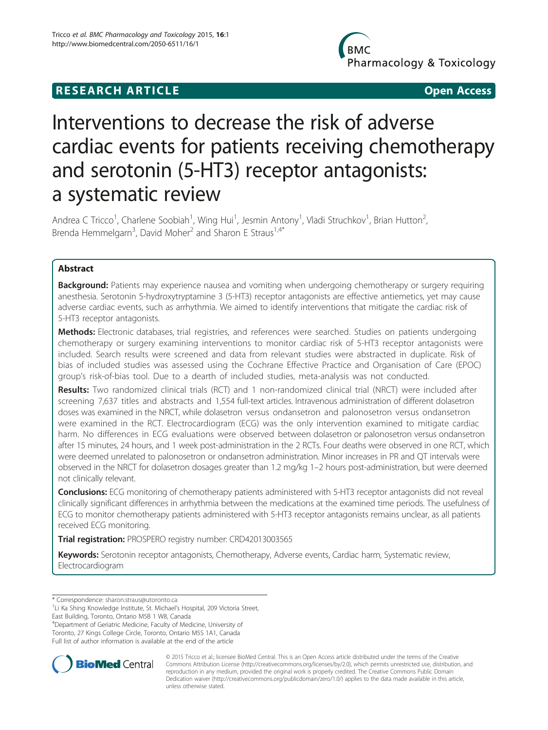# **RESEARCH ARTICLE CONSUMING A RESEARCH ARTICLE**

Pharmacology & Toxicology

# Interventions to decrease the risk of adverse cardiac events for patients receiving chemotherapy and serotonin (5-HT3) receptor antagonists: a systematic review

Andrea C Tricco<sup>1</sup>, Charlene Soobiah<sup>1</sup>, Wing Hui<sup>1</sup>, Jesmin Antony<sup>1</sup>, Vladi Struchkov<sup>1</sup>, Brian Hutton<sup>2</sup> , Brenda Hemmelgarn<sup>3</sup>, David Moher<sup>2</sup> and Sharon E Straus<sup>1,4\*</sup>

# Abstract

Background: Patients may experience nausea and vomiting when undergoing chemotherapy or surgery requiring anesthesia. Serotonin 5-hydroxytryptamine 3 (5-HT3) receptor antagonists are effective antiemetics, yet may cause adverse cardiac events, such as arrhythmia. We aimed to identify interventions that mitigate the cardiac risk of 5-HT3 receptor antagonists.

Methods: Electronic databases, trial registries, and references were searched. Studies on patients undergoing chemotherapy or surgery examining interventions to monitor cardiac risk of 5-HT3 receptor antagonists were included. Search results were screened and data from relevant studies were abstracted in duplicate. Risk of bias of included studies was assessed using the Cochrane Effective Practice and Organisation of Care (EPOC) group's risk-of-bias tool. Due to a dearth of included studies, meta-analysis was not conducted.

Results: Two randomized clinical trials (RCT) and 1 non-randomized clinical trial (NRCT) were included after screening 7,637 titles and abstracts and 1,554 full-text articles. Intravenous administration of different dolasetron doses was examined in the NRCT, while dolasetron versus ondansetron and palonosetron versus ondansetron were examined in the RCT. Electrocardiogram (ECG) was the only intervention examined to mitigate cardiac harm. No differences in ECG evaluations were observed between dolasetron or palonosetron versus ondansetron after 15 minutes, 24 hours, and 1 week post-administration in the 2 RCTs. Four deaths were observed in one RCT, which were deemed unrelated to palonosetron or ondansetron administration. Minor increases in PR and QT intervals were observed in the NRCT for dolasetron dosages greater than 1.2 mg/kg 1–2 hours post-administration, but were deemed not clinically relevant.

Conclusions: ECG monitoring of chemotherapy patients administered with 5-HT3 receptor antagonists did not reveal clinically significant differences in arrhythmia between the medications at the examined time periods. The usefulness of ECG to monitor chemotherapy patients administered with 5-HT3 receptor antagonists remains unclear, as all patients received ECG monitoring.

Trial registration: PROSPERO registry number: [CRD42013003565](http://www.crd.york.ac.uk/PROSPERO/display_record.asp?ID=CRD42013003565#.VNd2u_nF-e0)

Keywords: Serotonin receptor antagonists, Chemotherapy, Adverse events, Cardiac harm, Systematic review, Electrocardiogram

\* Correspondence: [sharon.straus@utoronto.ca](mailto:sharon.straus@utoronto.ca) <sup>1</sup>

East Building, Toronto, Ontario M5B 1 W8, Canada

4 Department of Geriatric Medicine, Faculty of Medicine, University of Toronto, 27 Kings College Circle, Toronto, Ontario M5S 1A1, Canada Full list of author information is available at the end of the article



© 2015 Tricco et al.; licensee BioMed Central. This is an Open Access article distributed under the terms of the Creative Commons Attribution License [\(http://creativecommons.org/licenses/by/2.0\)](http://creativecommons.org/licenses/by/2.0), which permits unrestricted use, distribution, and reproduction in any medium, provided the original work is properly credited. The Creative Commons Public Domain Dedication waiver [\(http://creativecommons.org/publicdomain/zero/1.0/](http://creativecommons.org/publicdomain/zero/1.0/)) applies to the data made available in this article, unless otherwise stated.

<sup>&</sup>lt;sup>1</sup>Li Ka Shing Knowledge Institute, St. Michael's Hospital, 209 Victoria Street,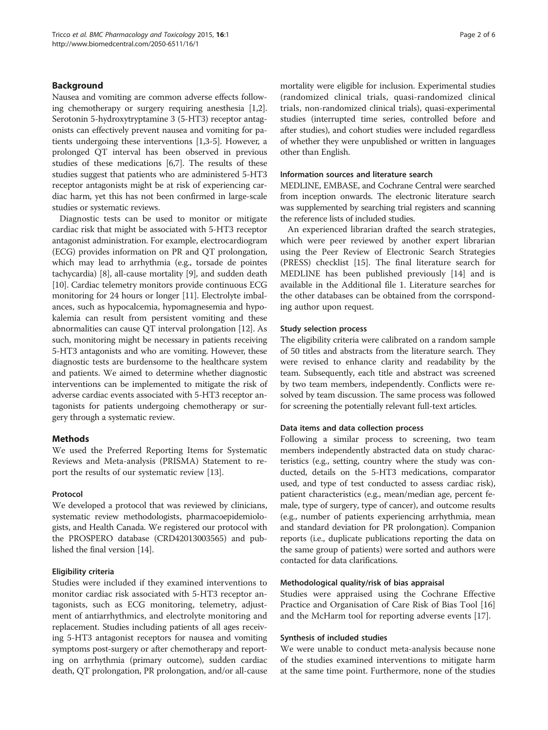# Background

Nausea and vomiting are common adverse effects following chemotherapy or surgery requiring anesthesia [[1](#page-5-0),[2](#page-5-0)]. Serotonin 5-hydroxytryptamine 3 (5-HT3) receptor antagonists can effectively prevent nausea and vomiting for patients undergoing these interventions [\[1,3-5](#page-5-0)]. However, a prolonged QT interval has been observed in previous studies of these medications [[6,7](#page-5-0)]. The results of these studies suggest that patients who are administered 5-HT3 receptor antagonists might be at risk of experiencing cardiac harm, yet this has not been confirmed in large-scale studies or systematic reviews.

Diagnostic tests can be used to monitor or mitigate cardiac risk that might be associated with 5-HT3 receptor antagonist administration. For example, electrocardiogram (ECG) provides information on PR and QT prolongation, which may lead to arrhythmia (e.g., torsade de pointes tachycardia) [\[8](#page-5-0)], all-cause mortality [\[9](#page-5-0)], and sudden death [[10](#page-5-0)]. Cardiac telemetry monitors provide continuous ECG monitoring for 24 hours or longer [\[11\]](#page-5-0). Electrolyte imbalances, such as hypocalcemia, hypomagnesemia and hypokalemia can result from persistent vomiting and these abnormalities can cause QT interval prolongation [\[12\]](#page-5-0). As such, monitoring might be necessary in patients receiving 5-HT3 antagonists and who are vomiting. However, these diagnostic tests are burdensome to the healthcare system and patients. We aimed to determine whether diagnostic interventions can be implemented to mitigate the risk of adverse cardiac events associated with 5-HT3 receptor antagonists for patients undergoing chemotherapy or surgery through a systematic review.

# Methods

We used the Preferred Reporting Items for Systematic Reviews and Meta-analysis (PRISMA) Statement to report the results of our systematic review [\[13\]](#page-5-0).

# Protocol

We developed a protocol that was reviewed by clinicians, systematic review methodologists, pharmacoepidemiologists, and Health Canada. We registered our protocol with the PROSPERO database (CRD42013003565) and published the final version [\[14](#page-5-0)].

#### Eligibility criteria

Studies were included if they examined interventions to monitor cardiac risk associated with 5-HT3 receptor antagonists, such as ECG monitoring, telemetry, adjustment of antiarrhythmics, and electrolyte monitoring and replacement. Studies including patients of all ages receiving 5-HT3 antagonist receptors for nausea and vomiting symptoms post-surgery or after chemotherapy and reporting on arrhythmia (primary outcome), sudden cardiac death, QT prolongation, PR prolongation, and/or all-cause mortality were eligible for inclusion. Experimental studies (randomized clinical trials, quasi-randomized clinical trials, non-randomized clinical trials), quasi-experimental studies (interrupted time series, controlled before and after studies), and cohort studies were included regardless of whether they were unpublished or written in languages other than English.

#### Information sources and literature search

MEDLINE, EMBASE, and Cochrane Central were searched from inception onwards. The electronic literature search was supplemented by searching trial registers and scanning the reference lists of included studies.

An experienced librarian drafted the search strategies, which were peer reviewed by another expert librarian using the Peer Review of Electronic Search Strategies (PRESS) checklist [[15\]](#page-5-0). The final literature search for MEDLINE has been published previously [\[14\]](#page-5-0) and is available in the Additional file [1](#page-5-0). Literature searches for the other databases can be obtained from the corrsponding author upon request.

# Study selection process

The eligibility criteria were calibrated on a random sample of 50 titles and abstracts from the literature search. They were revised to enhance clarity and readability by the team. Subsequently, each title and abstract was screened by two team members, independently. Conflicts were resolved by team discussion. The same process was followed for screening the potentially relevant full-text articles.

## Data items and data collection process

Following a similar process to screening, two team members independently abstracted data on study characteristics (e.g., setting, country where the study was conducted, details on the 5-HT3 medications, comparator used, and type of test conducted to assess cardiac risk), patient characteristics (e.g., mean/median age, percent female, type of surgery, type of cancer), and outcome results (e.g., number of patients experiencing arrhythmia, mean and standard deviation for PR prolongation). Companion reports (i.e., duplicate publications reporting the data on the same group of patients) were sorted and authors were contacted for data clarifications.

#### Methodological quality/risk of bias appraisal

Studies were appraised using the Cochrane Effective Practice and Organisation of Care Risk of Bias Tool [[16](#page-5-0)] and the McHarm tool for reporting adverse events [\[17](#page-5-0)].

# Synthesis of included studies

We were unable to conduct meta-analysis because none of the studies examined interventions to mitigate harm at the same time point. Furthermore, none of the studies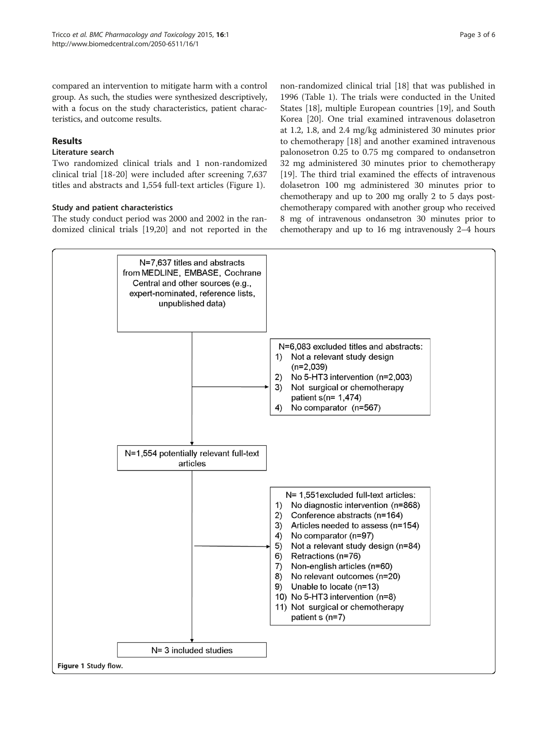compared an intervention to mitigate harm with a control group. As such, the studies were synthesized descriptively, with a focus on the study characteristics, patient characteristics, and outcome results.

# Results

# Literature search

Two randomized clinical trials and 1 non-randomized clinical trial [\[18](#page-5-0)-[20\]](#page-5-0) were included after screening 7,637 titles and abstracts and 1,554 full-text articles (Figure 1).

# Study and patient characteristics

The study conduct period was 2000 and 2002 in the randomized clinical trials [[19,20\]](#page-5-0) and not reported in the

non-randomized clinical trial [\[18\]](#page-5-0) that was published in 1996 (Table [1\)](#page-3-0). The trials were conducted in the United States [\[18\]](#page-5-0), multiple European countries [[19\]](#page-5-0), and South Korea [[20](#page-5-0)]. One trial examined intravenous dolasetron at 1.2, 1.8, and 2.4 mg/kg administered 30 minutes prior to chemotherapy [\[18\]](#page-5-0) and another examined intravenous palonosetron 0.25 to 0.75 mg compared to ondansetron 32 mg administered 30 minutes prior to chemotherapy [[19\]](#page-5-0). The third trial examined the effects of intravenous dolasetron 100 mg administered 30 minutes prior to chemotherapy and up to 200 mg orally 2 to 5 days postchemotherapy compared with another group who received 8 mg of intravenous ondansetron 30 minutes prior to chemotherapy and up to 16 mg intravenously 2–4 hours

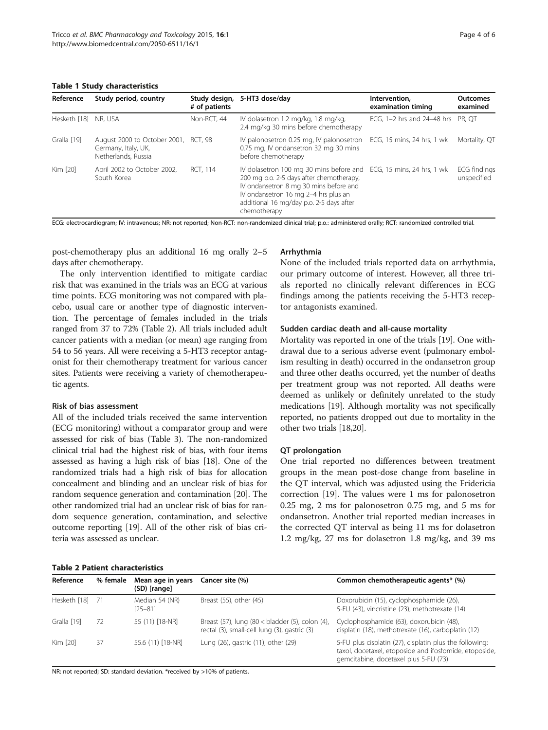#### <span id="page-3-0"></span>Table 1 Study characteristics

| Reference            | Study period, country                                                              | Study design,<br># of patients | 5-HT3 dose/day                                                                                                                                                                                                                                               | Intervention,<br>examination timing | <b>Outcomes</b><br>examined        |
|----------------------|------------------------------------------------------------------------------------|--------------------------------|--------------------------------------------------------------------------------------------------------------------------------------------------------------------------------------------------------------------------------------------------------------|-------------------------------------|------------------------------------|
| Hesketh [18] NR, USA |                                                                                    | Non-RCT, 44                    | IV dolasetron 1.2 mg/kg, 1.8 mg/kg,<br>2.4 mg/kg 30 mins before chemotherapy                                                                                                                                                                                 | ECG, 1-2 hrs and 24-48 hrs PR, QT   |                                    |
| Gralla [19]          | August 2000 to October 2001, RCT, 98<br>Germany, Italy, UK,<br>Netherlands, Russia |                                | IV palonosetron 0.25 mg, IV palonosetron ECG, 15 mins, 24 hrs, 1 wk<br>0.75 mg, IV ondansetron 32 mg 30 mins<br>before chemotherapy                                                                                                                          |                                     | Mortality, QT                      |
| Kim [20]             | April 2002 to October 2002,<br>South Korea                                         | RCT. 114                       | IV dolasetron 100 mg 30 mins before and ECG, 15 mins, 24 hrs, 1 wk<br>200 mg p.o. 2-5 days after chemotherapy,<br>IV ondansetron 8 mg 30 mins before and<br>IV ondansetron 16 mg 2-4 hrs plus an<br>additional 16 mg/day p.o. 2-5 days after<br>chemotherapy |                                     | <b>ECG</b> findings<br>unspecified |

ECG: electrocardiogram; IV: intravenous; NR: not reported; Non-RCT: non-randomized clinical trial; p.o.: administered orally; RCT: randomized controlled trial.

post-chemotherapy plus an additional 16 mg orally 2–5 days after chemotherapy.

The only intervention identified to mitigate cardiac risk that was examined in the trials was an ECG at various time points. ECG monitoring was not compared with placebo, usual care or another type of diagnostic intervention. The percentage of females included in the trials ranged from 37 to 72% (Table 2). All trials included adult cancer patients with a median (or mean) age ranging from 54 to 56 years. All were receiving a 5-HT3 receptor antagonist for their chemotherapy treatment for various cancer sites. Patients were receiving a variety of chemotherapeutic agents.

#### Risk of bias assessment

All of the included trials received the same intervention (ECG monitoring) without a comparator group and were assessed for risk of bias (Table [3](#page-4-0)). The non-randomized clinical trial had the highest risk of bias, with four items assessed as having a high risk of bias [\[18\]](#page-5-0). One of the randomized trials had a high risk of bias for allocation concealment and blinding and an unclear risk of bias for random sequence generation and contamination [\[20\]](#page-5-0). The other randomized trial had an unclear risk of bias for random sequence generation, contamination, and selective outcome reporting [[19](#page-5-0)]. All of the other risk of bias criteria was assessed as unclear.

#### Arrhythmia

None of the included trials reported data on arrhythmia, our primary outcome of interest. However, all three trials reported no clinically relevant differences in ECG findings among the patients receiving the 5-HT3 receptor antagonists examined.

#### Sudden cardiac death and all-cause mortality

Mortality was reported in one of the trials [[19](#page-5-0)]. One withdrawal due to a serious adverse event (pulmonary embolism resulting in death) occurred in the ondansetron group and three other deaths occurred, yet the number of deaths per treatment group was not reported. All deaths were deemed as unlikely or definitely unrelated to the study medications [[19](#page-5-0)]. Although mortality was not specifically reported, no patients dropped out due to mortality in the other two trials [\[18,20\]](#page-5-0).

#### QT prolongation

One trial reported no differences between treatment groups in the mean post-dose change from baseline in the QT interval, which was adjusted using the Fridericia correction [[19\]](#page-5-0). The values were 1 ms for palonosetron 0.25 mg, 2 ms for palonosetron 0.75 mg, and 5 ms for ondansetron. Another trial reported median increases in the corrected QT interval as being 11 ms for dolasetron 1.2 mg/kg, 27 ms for dolasetron 1.8 mg/kg, and 39 ms

#### Table 2 Patient characteristics

| Reference    | % female | Mean age in years<br>(SD) [range] | Cancer site (%)                                                                                 | Common chemotherapeutic agents* (%)                                                                                                                        |
|--------------|----------|-----------------------------------|-------------------------------------------------------------------------------------------------|------------------------------------------------------------------------------------------------------------------------------------------------------------|
| Hesketh [18] | - 71     | Median 54 (NR)<br>[25–81]         | Breast (55), other (45)                                                                         | Doxorubicin (15), cyclophosphamide (26),<br>5-FU (43), vincristine (23), methotrexate (14)                                                                 |
| Gralla [19]  | 72       | 55 (11) [18-NR]                   | Breast (57), lung (80 < bladder (5), colon (4),<br>rectal (3), small-cell lung (3), gastric (3) | Cyclophosphamide (63), doxorubicin (48),<br>cisplatin (18), methotrexate (16), carboplatin (12)                                                            |
| Kim [20]     | 37       | 55.6 (11) [18-NR]                 | Lung (26), gastric (11), other (29)                                                             | 5-FU plus cisplatin (27), cisplatin plus the following:<br>taxol, docetaxel, etoposide and ifosfomide, etoposide,<br>gemcitabine, docetaxel plus 5-FU (73) |

NR: not reported; SD: standard deviation. \*received by >10% of patients.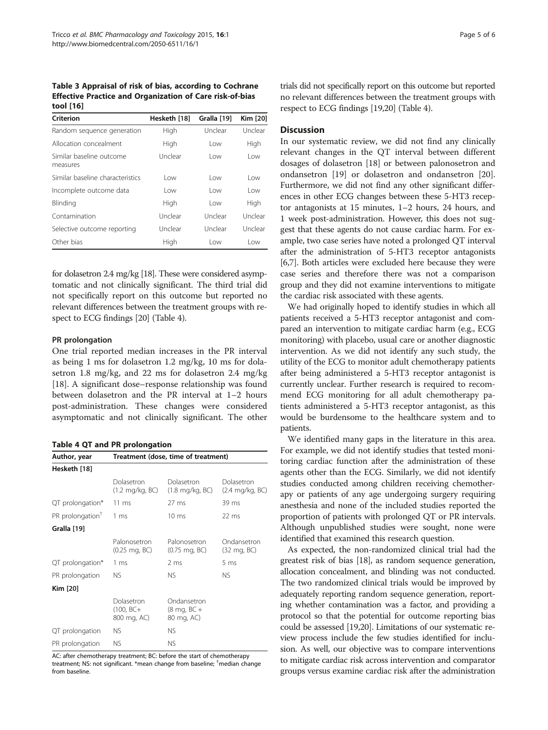<span id="page-4-0"></span>Table 3 Appraisal of risk of bias, according to Cochrane Effective Practice and Organization of Care risk-of-bias tool [\[16](#page-5-0)]

| Criterion                            | Hesketh [18] | Gralla [19] | Kim [20] |
|--------------------------------------|--------------|-------------|----------|
| Random sequence generation           | High         | Unclear     | Unclear  |
| Allocation concealment               | High         | l ow        | High     |
| Similar baseline outcome<br>measures | Unclear      | l ow        | l ow     |
| Similar baseline characteristics     | l ow         | l ow        | l ow     |
| Incomplete outcome data              | l ow         | l ow        | l ow     |
| Blinding                             | High         | l ow        | High     |
| Contamination                        | Unclear      | Unclear     | Unclear  |
| Selective outcome reporting          | Unclear      | Unclear     | Unclear  |
| Other bias                           | High         | l ow        | l ow     |

for dolasetron 2.4 mg/kg [\[18](#page-5-0)]. These were considered asymptomatic and not clinically significant. The third trial did not specifically report on this outcome but reported no relevant differences between the treatment groups with respect to ECG findings [\[20\]](#page-5-0) (Table 4).

# PR prolongation

One trial reported median increases in the PR interval as being 1 ms for dolasetron 1.2 mg/kg, 10 ms for dolasetron 1.8 mg/kg, and 22 ms for dolasetron 2.4 mg/kg [[18\]](#page-5-0). A significant dose–response relationship was found between dolasetron and the PR interval at 1–2 hours post-administration. These changes were considered asymptomatic and not clinically significant. The other

Table 4 QT and PR prolongation

| Author, year                 | Treatment (dose, time of treatment)      |                                                    |                               |  |  |
|------------------------------|------------------------------------------|----------------------------------------------------|-------------------------------|--|--|
| Hesketh [18]                 |                                          |                                                    |                               |  |  |
|                              | Dolasetron<br>(1.2 mg/kg, BC)            | Dolasetron<br>(1.8 mg/kg, BC)                      | Dolasetron<br>(2.4 mg/kg, BC) |  |  |
| QT prolongation*             | $11 \text{ ms}$                          | 27 ms                                              | 39 ms                         |  |  |
| PR prolongation <sup>+</sup> | $1 \text{ ms}$                           | $10 \text{ ms}$                                    | $22 \text{ ms}$               |  |  |
| Gralla [19]                  |                                          |                                                    |                               |  |  |
|                              | Palonosetron<br>(0.25 mg, BC)            | Palonosetron<br>(0.75 mg, BC)                      | Ondansetron<br>(32 mg, BC)    |  |  |
| QT prolongation*             | $1 \text{ ms}$                           | 2 ms                                               | 5 <sub>ms</sub>               |  |  |
| PR prolongation              | ΝS                                       | NS.                                                | NS.                           |  |  |
| Kim [20]                     |                                          |                                                    |                               |  |  |
|                              | Dolasetron<br>$(100, BC+$<br>800 mg, AC) | Ondansetron<br>$(8 \text{ mg}, BC +$<br>80 mg, AC) |                               |  |  |
| QT prolongation              | <b>NS</b>                                | <b>NS</b>                                          |                               |  |  |
| PR prolongation              | ΝS                                       | <b>NS</b>                                          |                               |  |  |

AC: after chemotherapy treatment; BC: before the start of chemotherapy treatment; NS: not significant. \*mean change from baseline; † median change from baseline.

trials did not specifically report on this outcome but reported no relevant differences between the treatment groups with respect to ECG findings [\[19,20](#page-5-0)] (Table 4).

# **Discussion**

In our systematic review, we did not find any clinically relevant changes in the QT interval between different dosages of dolasetron [[18\]](#page-5-0) or between palonosetron and ondansetron [\[19\]](#page-5-0) or dolasetron and ondansetron [\[20](#page-5-0)]. Furthermore, we did not find any other significant differences in other ECG changes between these 5-HT3 receptor antagonists at 15 minutes, 1–2 hours, 24 hours, and 1 week post-administration. However, this does not suggest that these agents do not cause cardiac harm. For example, two case series have noted a prolonged QT interval after the administration of 5-HT3 receptor antagonists [[6,7](#page-5-0)]. Both articles were excluded here because they were case series and therefore there was not a comparison group and they did not examine interventions to mitigate the cardiac risk associated with these agents.

We had originally hoped to identify studies in which all patients received a 5-HT3 receptor antagonist and compared an intervention to mitigate cardiac harm (e.g., ECG monitoring) with placebo, usual care or another diagnostic intervention. As we did not identify any such study, the utility of the ECG to monitor adult chemotherapy patients after being administered a 5-HT3 receptor antagonist is currently unclear. Further research is required to recommend ECG monitoring for all adult chemotherapy patients administered a 5-HT3 receptor antagonist, as this would be burdensome to the healthcare system and to patients.

We identified many gaps in the literature in this area. For example, we did not identify studies that tested monitoring cardiac function after the administration of these agents other than the ECG. Similarly, we did not identify studies conducted among children receiving chemotherapy or patients of any age undergoing surgery requiring anesthesia and none of the included studies reported the proportion of patients with prolonged QT or PR intervals. Although unpublished studies were sought, none were identified that examined this research question.

As expected, the non-randomized clinical trial had the greatest risk of bias [\[18\]](#page-5-0), as random sequence generation, allocation concealment, and blinding was not conducted. The two randomized clinical trials would be improved by adequately reporting random sequence generation, reporting whether contamination was a factor, and providing a protocol so that the potential for outcome reporting bias could be assessed [\[19,20\]](#page-5-0). Limitations of our systematic review process include the few studies identified for inclusion. As well, our objective was to compare interventions to mitigate cardiac risk across intervention and comparator groups versus examine cardiac risk after the administration